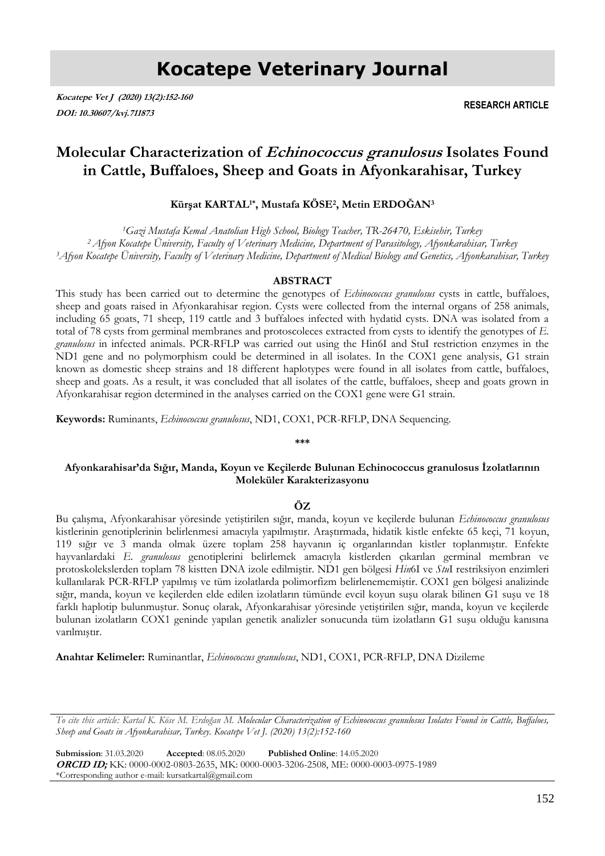# **Kocatepe Veterinary Journal**

**Kocatepe Vet J (2020) 13(2):152-160 DOI: 10.30607/kvj.711873**

**RESEARCH ARTICLE**

# **Molecular Characterization of Echinococcus granulosus Isolates Found in Cattle, Buffaloes, Sheep and Goats in Afyonkarahisar, Turkey**

# **Kürşat KARTAL1\*, Mustafa KÖSE<sup>2</sup> , Metin ERDOĞAN<sup>3</sup>**

*<sup>1</sup>Gazi Mustafa Kemal Anatolian High School, Biology Teacher, TR-26470, Eskisehir, Turkey <sup>2</sup>Afyon Kocatepe Üniversity, Faculty of Veterinary Medicine, Department of Parasitology, Afyonkarahisar, Turkey <sup>3</sup>Afyon Kocatepe Üniversity, Faculty of Veterinary Medicine, Department of Medical Biology and Genetics, Afyonkarahisar, Turkey*

# **ABSTRACT**

This study has been carried out to determine the genotypes of *Echinococcus granulosus* cysts in cattle, buffaloes, sheep and goats raised in Afyonkarahisar region. Cysts were collected from the internal organs of 258 animals, including 65 goats, 71 sheep, 119 cattle and 3 buffaloes infected with hydatid cysts. DNA was isolated from a total of 78 cysts from germinal membranes and protoscoleces extracted from cysts to identify the genotypes of *E. granulosus* in infected animals. PCR-RFLP was carried out using the Hin6I and StuI restriction enzymes in the ND1 gene and no polymorphism could be determined in all isolates. In the COX1 gene analysis, G1 strain known as domestic sheep strains and 18 different haplotypes were found in all isolates from cattle, buffaloes, sheep and goats. As a result, it was concluded that all isolates of the cattle, buffaloes, sheep and goats grown in Afyonkarahisar region determined in the analyses carried on the COX1 gene were G1 strain.

**Keywords:** Ruminants, *Echinococcus granulosus*, ND1, COX1, PCR-RFLP, DNA Sequencing.

#### **\*\*\***

# **Afyonkarahisar'da Sığır, Manda, Koyun ve Keçilerde Bulunan Echinococcus granulosus İzolatlarının Moleküler Karakterizasyonu**

# **ÖZ**

Bu çalışma, Afyonkarahisar yöresinde yetiştirilen sığır, manda, koyun ve keçilerde bulunan *Echinococcus granulosus* kistlerinin genotiplerinin belirlenmesi amacıyla yapılmıştır. Araştırmada, hidatik kistle enfekte 65 keçi, 71 koyun, 119 sığır ve 3 manda olmak üzere toplam 258 hayvanın iç organlarından kistler toplanmıştır. Enfekte hayvanlardaki *E. granulosus* genotiplerini belirlemek amacıyla kistlerden çıkarılan germinal membran ve protoskolekslerden toplam 78 kistten DNA izole edilmiştir. ND1 gen bölgesi *Hin*6I ve *Stu*I restriksiyon enzimleri kullanılarak PCR-RFLP yapılmış ve tüm izolatlarda polimorfizm belirlenememiştir. COX1 gen bölgesi analizinde sığır, manda, koyun ve keçilerden elde edilen izolatların tümünde evcil koyun suşu olarak bilinen G1 suşu ve 18 farklı haplotip bulunmuştur. Sonuç olarak, Afyonkarahisar yöresinde yetiştirilen sığır, manda, koyun ve keçilerde bulunan izolatların COX1 geninde yapılan genetik analizler sonucunda tüm izolatların G1 suşu olduğu kanısına varılmıştır.

**Anahtar Kelimeler:** Ruminantlar, *Echinococcus granulosus*, ND1, COX1, PCR-RFLP, DNA Dizileme

*To cite this article: Kartal K. Köse M. Erdoğan M. Molecular Characterization of Echinococcus granulosus Isolates Found in Cattle, Buffaloes, Sheep and Goats in Afyonkarahisar, Turkey. Kocatepe Vet J. (2020) 13(2):152-160*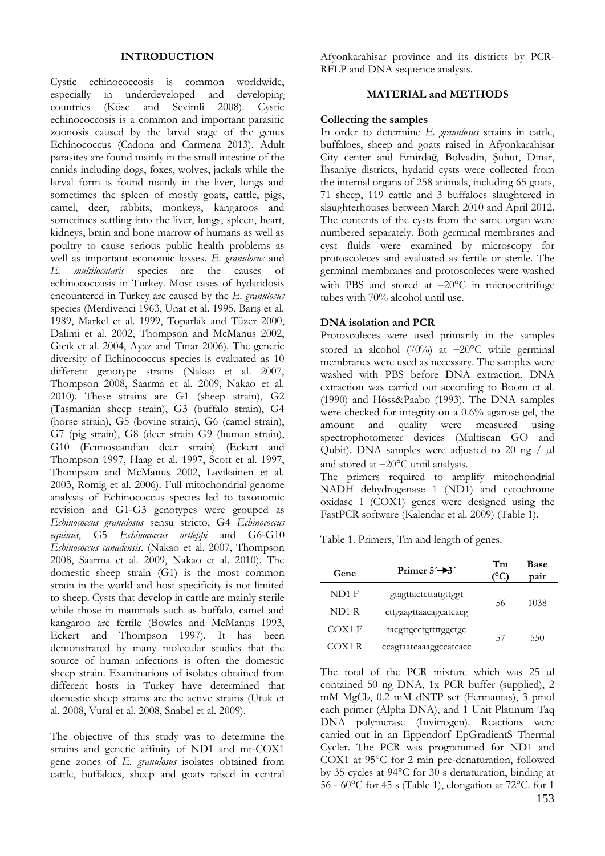#### **INTRODUCTION**

Cystic echinococcosis is common worldwide, especially in underdeveloped and developing countries (Köse and Sevimli 2008). Cystic echinococcosis is a common and important parasitic zoonosis caused by the larval stage of the genus Echinococcus (Cadona and Carmena 2013). Adult parasites are found mainly in the small intestine of the canids including dogs, foxes, wolves, jackals while the larval form is found mainly in the liver, lungs and sometimes the spleen of mostly goats, cattle, pigs, camel, deer, rabbits, monkeys, kangaroos and sometimes settling into the liver, lungs, spleen, heart, kidneys, brain and bone marrow of humans as well as poultry to cause serious public health problems as well as important economic losses. *E. granulosus* and *E. multilocularis* species are the causes of echinococcosis in Turkey. Most cases of hydatidosis encountered in Turkey are caused by the *E. granulosus* species (Merdivenci 1963, Unat et al. 1995, Barış et al. 1989, Markel et al. 1999, Toparlak and Tüzer 2000, Dalimi et al. 2002, Thompson and McManus 2002, Gıcık et al. 2004, Ayaz and Tınar 2006). The genetic diversity of Echinococcus species is evaluated as 10 different genotype strains (Nakao et al. 2007, Thompson 2008, Saarma et al. 2009, Nakao et al. 2010). These strains are G1 (sheep strain), G2 (Tasmanian sheep strain), G3 (buffalo strain), G4 (horse strain), G5 (bovine strain), G6 (camel strain), G7 (pig strain), G8 (deer strain G9 (human strain), G10 (Fennoscandian deer strain) (Eckert and Thompson 1997, Haag et al. 1997, Scott et al. 1997, Thompson and McManus 2002, Lavikainen et al. 2003, Romig et al. 2006). Full mitochondrial genome analysis of Echinococcus species led to taxonomic revision and G1-G3 genotypes were grouped as *Echinococcus granulosus* sensu stricto, G4 *Echinococcus equinus*, G5 *Echinococcus ortleppi* and G6-G10 *Echinococcus canadensis*. (Nakao et al. 2007, Thompson 2008, Saarma et al. 2009, Nakao et al. 2010). The domestic sheep strain (G1) is the most common strain in the world and host specificity is not limited to sheep. Cysts that develop in cattle are mainly sterile while those in mammals such as buffalo, camel and kangaroo are fertile (Bowles and McManus 1993, Eckert and Thompson 1997). It has been demonstrated by many molecular studies that the source of human infections is often the domestic sheep strain. Examinations of isolates obtained from different hosts in Turkey have determined that domestic sheep strains are the active strains (Utuk et al. 2008, Vural et al. 2008, Snabel et al. 2009).

The objective of this study was to determine the strains and genetic affinity of ND1 and mt-COX1 gene zones of *E. granulosus* isolates obtained from cattle, buffaloes, sheep and goats raised in central Afyonkarahisar province and its districts by PCR-RFLP and DNA sequence analysis.

# **MATERIAL and METHODS**

### **Collecting the samples**

In order to determine *E. granulosus* strains in cattle, buffaloes, sheep and goats raised in Afyonkarahisar City center and Emirdağ, Bolvadin, Şuhut, Dinar, İhsaniye districts, hydatid cysts were collected from the internal organs of 258 animals, including 65 goats, 71 sheep, 119 cattle and 3 buffaloes slaughtered in slaughterhouses between March 2010 and April 2012. The contents of the cysts from the same organ were numbered separately. Both germinal membranes and cyst fluids were examined by microscopy for protoscoleces and evaluated as fertile or sterile. The germinal membranes and protoscoleces were washed with PBS and stored at  $-20^{\circ}$ C in microcentrifuge tubes with 70% alcohol until use.

# **DNA isolation and PCR**

Protoscoleces were used primarily in the samples stored in alcohol (70%) at  $-20^{\circ}$ C while germinal membranes were used as necessary. The samples were washed with PBS before DNA extraction. DNA extraction was carried out according to Boom et al. (1990) and Höss&Paabo (1993). The DNA samples were checked for integrity on a 0.6% agarose gel, the amount and quality were measured using spectrophotometer devices (Multiscan GO and Qubit). DNA samples were adjusted to 20 ng  $/ \mu$ l and stored at  $-20^{\circ}$ C until analysis.

The primers required to amplify mitochondrial NADH dehydrogenase 1 (ND1) and cytochrome oxidase 1 (COX1) genes were designed using the FastPCR software (Kalendar et al. 2009) (Table 1).

Table 1. Primers, Tm and length of genes.

| Gene   | Primer $5'$ $\rightarrow$ 3' | Tm | <b>Base</b><br>pair |
|--------|------------------------------|----|---------------------|
| ND1 F  | gtagttactcttatgttggt         |    |                     |
| ND1 R  | cttgaagttaacagcatcacg        | 56 | 1038                |
| COX1 F | tacgttgcctgttttggctgc        |    |                     |
| COX1 R | ccagtaatcaaaggccatcacc       | 57 | 550                 |

153 The total of the PCR mixture which was 25 µl contained 50 ng DNA, 1x PCR buffer (supplied), 2 mM MgCl2, 0.2 mM dNTP set (Fermantas), 3 pmol each primer (Alpha DNA), and 1 Unit Platinum Taq DNA polymerase (Invitrogen). Reactions were carried out in an Eppendorf EpGradientS Thermal Cycler. The PCR was programmed for ND1 and COX1 at 95°C for 2 min pre-denaturation, followed by 35 cycles at 94°C for 30 s denaturation, binding at 56 - 60°C for 45 s (Table 1), elongation at 72°C. for 1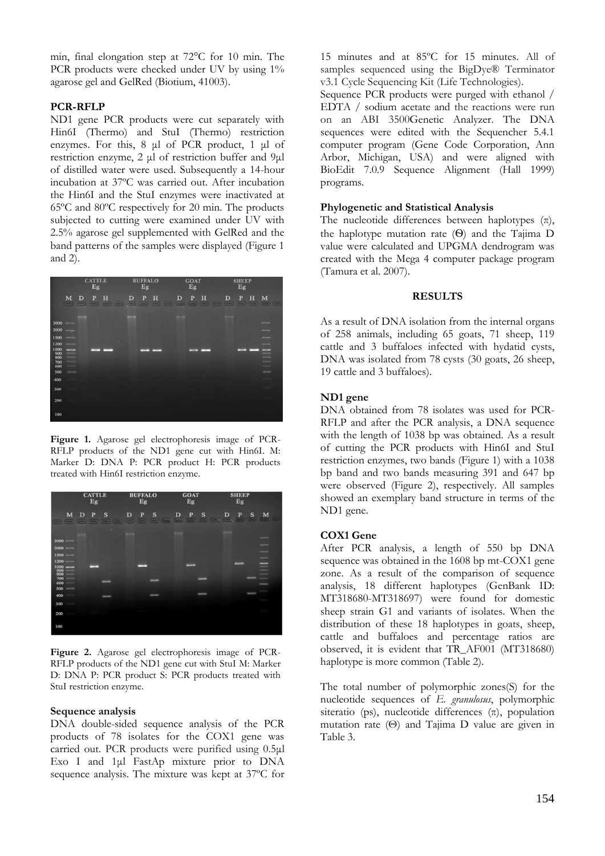min, final elongation step at 72°C for 10 min. The PCR products were checked under UV by using  $1\%$ agarose gel and GelRed (Biotium, 41003).

# **PCR-RFLP**

ND1 gene PCR products were cut separately with Hin6I (Thermo) and StuI (Thermo) restriction enzymes. For this, 8 μl of PCR product, 1 μl of restriction enzyme, 2 μl of restriction buffer and 9μl of distilled water were used. Subsequently a 14-hour incubation at 37ºC was carried out. After incubation the Hin6I and the StuI enzymes were inactivated at 65ºC and 80ºC respectively for 20 min. The products subjected to cutting were examined under UV with 2.5% agarose gel supplemented with GelRed and the band patterns of the samples were displayed (Figure 1 and 2).



**Figure 1.** Agarose gel electrophoresis image of PCR-RFLP products of the ND1 gene cut with Hin6I. M: Marker D: DNA P: PCR product H: PCR products treated with Hin6I restriction enzyme.



**Figure 2.** Agarose gel electrophoresis image of PCR-RFLP products of the ND1 gene cut with StuI M: Marker D: DNA P: PCR product S: PCR products treated with StuI restriction enzyme.

#### **Sequence analysis**

DNA double-sided sequence analysis of the PCR products of 78 isolates for the COX1 gene was carried out. PCR products were purified using 0.5μl Exo I and 1μl FastAp mixture prior to DNA sequence analysis. The mixture was kept at 37ºC for

15 minutes and at 85ºC for 15 minutes. All of samples sequenced using the BigDye® Terminator v3.1 Cycle Sequencing Kit (Life Technologies).

Sequence PCR products were purged with ethanol / EDTA / sodium acetate and the reactions were run on an ABI 3500Genetic Analyzer. The DNA sequences were edited with the Sequencher 5.4.1 computer program (Gene Code Corporation, Ann Arbor, Michigan, USA) and were aligned with BioEdit 7.0.9 Sequence Alignment (Hall 1999) programs.

# **Phylogenetic and Statistical Analysis**

The nucleotide differences between haplotypes  $(\pi)$ , the haplotype mutation rate (Ѳ) and the Tajima D value were calculated and UPGMA dendrogram was created with the Mega 4 computer package program (Tamura et al. 2007).

### **RESULTS**

As a result of DNA isolation from the internal organs of 258 animals, including 65 goats, 71 sheep, 119 cattle and 3 buffaloes infected with hydatid cysts, DNA was isolated from 78 cysts (30 goats, 26 sheep, 19 cattle and 3 buffaloes).

#### **ND1 gene**

DNA obtained from 78 isolates was used for PCR-RFLP and after the PCR analysis, a DNA sequence with the length of 1038 bp was obtained. As a result of cutting the PCR products with Hin6I and StuI restriction enzymes, two bands (Figure 1) with a 1038 bp band and two bands measuring 391 and 647 bp were observed (Figure 2), respectively. All samples showed an exemplary band structure in terms of the ND1 gene.

#### **COX1 Gene**

After PCR analysis, a length of 550 bp DNA sequence was obtained in the 1608 bp mt-COX1 gene zone. As a result of the comparison of sequence analysis, 18 different haplotypes (GenBank ID: MT318680-MT318697) were found for domestic sheep strain G1 and variants of isolates. When the distribution of these 18 haplotypes in goats, sheep, cattle and buffaloes and percentage ratios are observed, it is evident that TR\_AF001 (MT318680) haplotype is more common (Table 2).

The total number of polymorphic zones(S) for the nucleotide sequences of *E. granulosus*, polymorphic siteratio (ps), nucleotide differences  $(\pi)$ , population mutation rate (Θ) and Tajima D value are given in Table 3.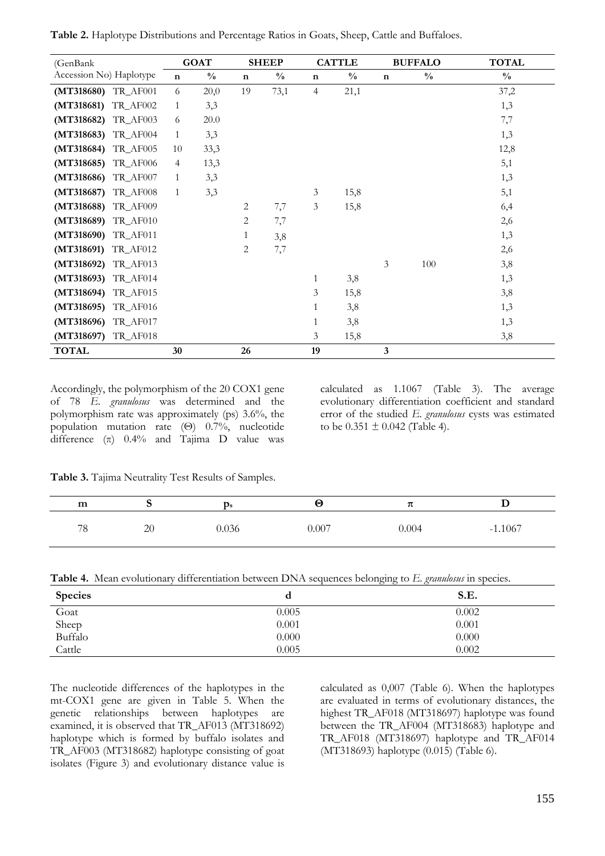| (GenBank)               |                | <b>GOAT</b>   |             | <b>SHEEP</b>  |             | <b>CATTLE</b> |             | <b>BUFFALO</b> | <b>TOTAL</b>  |
|-------------------------|----------------|---------------|-------------|---------------|-------------|---------------|-------------|----------------|---------------|
| Accession No) Haplotype | $\mathbf n$    | $\frac{0}{0}$ | $\mathbf n$ | $\frac{0}{0}$ | $\mathbf n$ | $\frac{0}{0}$ | $\mathbf n$ | $\frac{0}{0}$  | $\frac{0}{0}$ |
| (MT318680) TR_AF001     | 6              | 20,0          | 19          | 73,1          | 4           | 21,1          |             |                | 37,2          |
| (MT318681)<br>TR_AF002  | $\mathbf{1}$   | 3,3           |             |               |             |               |             |                | 1,3           |
| TR_AF003<br>(MT318682)  | 6              | 20.0          |             |               |             |               |             |                | 7,7           |
| (MT318683)<br>TR_AF004  | $\mathbf{1}$   | 3,3           |             |               |             |               |             |                | 1,3           |
| (MT318684)<br>TR_AF005  | 10             | 33,3          |             |               |             |               |             |                | 12,8          |
| (MT318685)<br>TR_AF006  | $\overline{4}$ | 13,3          |             |               |             |               |             |                | 5,1           |
| (MT318686)<br>TR_AF007  | $\mathbf{1}$   | 3,3           |             |               |             |               |             |                | 1,3           |
| TR_AF008<br>(MT318687)  | 1              | 3,3           |             |               | 3           | 15,8          |             |                | 5,1           |
| (MT318688)<br>TR_AF009  |                |               | 2           | 7,7           | 3           | 15,8          |             |                | 6,4           |
| TR_AF010<br>(MT318689)  |                |               | 2           | 7,7           |             |               |             |                | 2,6           |
| (MT318690)<br>TR_AF011  |                |               | 1           | 3,8           |             |               |             |                | 1,3           |
| (MT318691)<br>TR_AF012  |                |               | 2           | 7,7           |             |               |             |                | 2,6           |
| (MT318692)<br>TR_AF013  |                |               |             |               |             |               | 3           | 100            | 3,8           |
| (MT318693)<br>TR_AF014  |                |               |             |               | 1           | 3,8           |             |                | 1,3           |
| (MT318694)<br>TR_AF015  |                |               |             |               | 3           | 15,8          |             |                | 3,8           |
| TR_AF016<br>(MT318695)  |                |               |             |               | 1           | 3,8           |             |                | 1,3           |
| (MT318696)<br>TR_AF017  |                |               |             |               | 1           | 3,8           |             |                | 1,3           |
| TR_AF018<br>(MT318697)  |                |               |             |               | 3           | 15,8          |             |                | 3,8           |
| <b>TOTAL</b>            | 30             |               | 26          |               | 19          |               | 3           |                |               |

**Table 2.** Haplotype Distributions and Percentage Ratios in Goats, Sheep, Cattle and Buffaloes.

Accordingly, the polymorphism of the 20 COX1 gene of 78 *E. granulosus* was determined and the polymorphism rate was approximately (ps) 3.6%, the population mutation rate (Θ) 0.7%, nucleotide difference  $(\pi)$  0.4% and Tajima D value was

calculated as 1.1067 (Table 3). The average evolutionary differentiation coefficient and standard error of the studied *E. granulosus* cysts was estimated to be  $0.351 \pm 0.042$  (Table 4).

**Table 3.** Tajima Neutrality Test Results of Samples.

| m  | $\sim$ | $p_{s}$ | Θ     |       |           |
|----|--------|---------|-------|-------|-----------|
| 78 | 20     | 0.036   | 0.007 | 0.004 | $-1.1067$ |

|  |  |  |  |  |  | Table 4. Mean evolutionary differentiation between DNA sequences belonging to E. granulosus in species. |
|--|--|--|--|--|--|---------------------------------------------------------------------------------------------------------|
|--|--|--|--|--|--|---------------------------------------------------------------------------------------------------------|

| <b>Species</b> | a     | S.E.  |
|----------------|-------|-------|
| Goat           | 0.005 | 0.002 |
| Sheep          | 0.001 | 0.001 |
| Buffalo        | 0.000 | 0.000 |
| Cattle         | 0.005 | 0.002 |

The nucleotide differences of the haplotypes in the mt-COX1 gene are given in Table 5. When the genetic relationships between haplotypes are examined, it is observed that TR\_AF013 (MT318692) haplotype which is formed by buffalo isolates and TR\_AF003 (MT318682) haplotype consisting of goat isolates (Figure 3) and evolutionary distance value is

calculated as 0,007 (Table 6). When the haplotypes are evaluated in terms of evolutionary distances, the highest TR\_AF018 (MT318697) haplotype was found between the TR\_AF004 (MT318683) haplotype and TR\_AF018 (MT318697) haplotype and TR\_AF014 (MT318693) haplotype (0.015) (Table 6).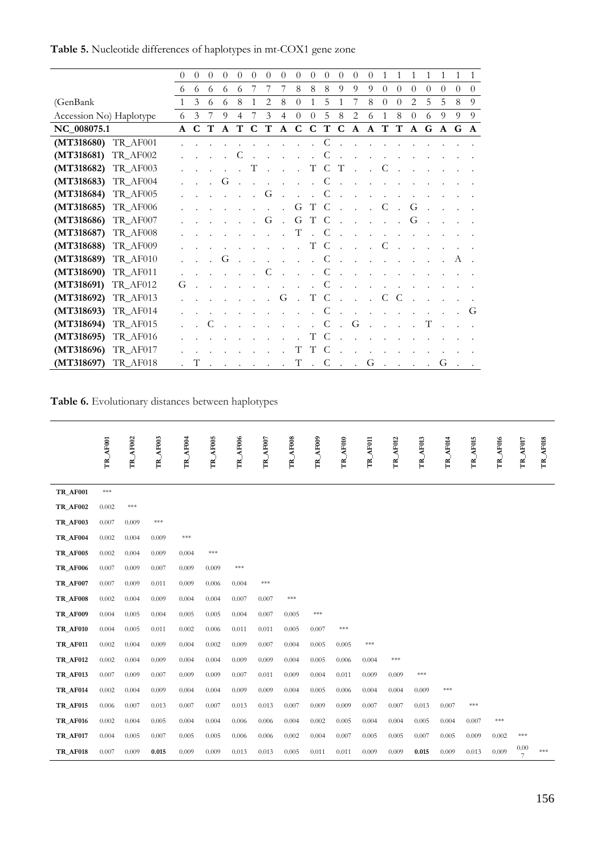|                         |          | $\theta$     | $\theta$ | $\theta$ | 0            | $\theta$ | $\theta$ | $\theta$ | $\theta$     | 0              | $\theta$             | $\theta$ | $\theta$ | $\theta$       | $\overline{0}$ | 1            | 1        | 1            | 1        | 1            |          | $\mathbf{1}$ |
|-------------------------|----------|--------------|----------|----------|--------------|----------|----------|----------|--------------|----------------|----------------------|----------|----------|----------------|----------------|--------------|----------|--------------|----------|--------------|----------|--------------|
|                         |          | 6            | 6        | 6        | 6            | 6        | 7        | 7        | 7            | 8              | 8                    | 8        | 9        | 9              | 9              | $\theta$     | $\Omega$ | $\theta$     | $\theta$ | $\theta$     | $\theta$ | $\theta$     |
| (GenBank                |          | $\mathbf{1}$ | 3        | 6        | 6            | 8        | 1        | 2        | 8            | $\overline{0}$ | 1                    | 5        | 1        | 7              | 8              | $\theta$     | $\theta$ | 2            | 5        | 5            | 8        | 9            |
| Accession No) Haplotype |          | 6            | 3        | 7        | 9            | 4        | 7        | 3        | 4            | $\overline{0}$ | $\theta$             | 5        | 8        | $\overline{2}$ | 6              | $\mathbf{1}$ | 8        | $\theta$     | 6        | 9            | 9        | 9            |
| NC_008075.1             |          | A            | C        | т        | $\mathbf{A}$ | T        | C        | T        | $\mathbf{A}$ | C              | C                    | T        | C        | $\mathbf{A}$   | A              | T            | T        | $\mathbf{A}$ | G        | $\mathbf{A}$ | G        | $\mathbf{A}$ |
| (MT318680) TR_AF001     |          |              |          |          |              |          |          |          |              |                |                      |          |          |                |                |              |          |              |          |              |          |              |
| (MT318681) TR_AF002     |          |              |          |          |              |          |          |          |              |                |                      |          |          |                |                |              |          |              |          |              |          |              |
| (MT318682) TR_AF003     |          |              |          |          |              |          | Т        |          |              |                | T                    | C        | Т        |                |                | C            |          |              |          |              |          |              |
| (MT318683) TR_AF004     |          |              |          |          | G            |          |          |          |              |                |                      | C        |          |                |                |              |          |              |          |              |          |              |
| (MT318684) TR_AF005     |          |              |          |          |              |          |          | G        |              |                |                      |          |          |                |                |              |          |              |          |              |          |              |
| (MT318685) TR_AF006     |          |              |          |          |              |          |          |          |              | G              | T                    | C        |          |                |                | C            |          | G            |          |              |          |              |
| (MT318686) TR_AF007     |          |              |          |          |              |          |          | G        |              | G              | T                    | C        |          |                |                |              |          | G            |          |              |          |              |
| (MT318687)              | TR_AF008 |              |          |          |              |          |          |          |              | T              |                      | C        |          |                |                |              |          |              |          |              |          |              |
| (MT318688) TR_AF009     |          |              |          |          |              |          |          |          |              |                | T                    | C        |          |                |                | C            |          |              |          |              |          |              |
| (MT318689) TR_AF010     |          |              |          |          | G            |          |          |          |              |                |                      | C        |          |                |                |              |          |              |          |              | А        |              |
| (MT318690) TR_AF011     |          |              |          |          |              |          |          | C        |              |                |                      | C        |          |                |                |              |          |              |          |              |          |              |
| (MT318691)              | TR_AF012 | G            |          |          |              |          |          |          |              |                |                      |          |          |                |                |              |          |              |          |              |          |              |
| (MT318692)              | TR_AF013 |              |          |          |              |          |          |          | G            |                | T                    | C        |          |                |                | C            | C        |              |          |              |          |              |
| (MT318693) TR_AF014     |          |              |          |          |              |          |          |          |              |                |                      | C        |          |                |                |              |          |              |          |              |          | G            |
| (MT318694)              | TR_AF015 |              |          |          |              |          |          |          |              |                |                      | C        |          | G              |                |              |          |              | T        |              |          |              |
| (MT318695)              | TR_AF016 |              |          |          |              |          |          |          |              |                | T                    | C        |          |                |                |              |          |              |          |              |          |              |
| (MT318696)              | TR_AF017 |              |          |          |              |          |          |          |              | T              | T                    | C        |          |                |                |              |          |              |          |              |          |              |
| (MT318697) TR_AF018     |          |              | Т        |          |              |          |          |          |              | T              | $\ddot{\phantom{a}}$ | C        |          | $\sim$         | G              |              |          |              |          | G            |          |              |

**Table 5.** Nucleotide differences of haplotypes in mt-COX1 gene zone

**Table 6.** Evolutionary distances between haplotypes

|                 |          |          | AF003              |          |          |          |          |          |          | AF010          | AF011 | AF012              | AF013              | AF014 |          |                 |                    |          |
|-----------------|----------|----------|--------------------|----------|----------|----------|----------|----------|----------|----------------|-------|--------------------|--------------------|-------|----------|-----------------|--------------------|----------|
|                 | TR_AF001 | TR_AF002 | FR.                | TR_AF004 | TR_AF005 | TR_AF006 | TR_AF007 | TR_AF008 | TR_AF009 | Ĕ              | É     | Ĕ                  | E                  | E,    | TR_AF015 | <b>TR_AF016</b> | TR_AF017           | TR_AF018 |
|                 |          |          |                    |          |          |          |          |          |          |                |       |                    |                    |       |          |                 |                    |          |
| <b>TR_AF001</b> | $***$    |          |                    |          |          |          |          |          |          |                |       |                    |                    |       |          |                 |                    |          |
| <b>TR AF002</b> | 0.002    | ***      |                    |          |          |          |          |          |          |                |       |                    |                    |       |          |                 |                    |          |
| <b>TR_AF003</b> | 0.007    | 0.009    | $\ast\!\ast\!\ast$ |          |          |          |          |          |          |                |       |                    |                    |       |          |                 |                    |          |
| TR_AF004        | 0.002    | 0.004    | 0.009              | ***      |          |          |          |          |          |                |       |                    |                    |       |          |                 |                    |          |
| <b>TR_AF005</b> | 0.002    | 0.004    | 0.009              | 0.004    | $***$    |          |          |          |          |                |       |                    |                    |       |          |                 |                    |          |
| <b>TR_AF006</b> | 0.007    | 0.009    | 0.007              | 0.009    | 0.009    | $***$    |          |          |          |                |       |                    |                    |       |          |                 |                    |          |
| <b>TR_AF007</b> | 0.007    | 0.009    | 0.011              | 0.009    | 0.006    | 0.004    | $***$    |          |          |                |       |                    |                    |       |          |                 |                    |          |
| <b>TR_AF008</b> | 0.002    | 0.004    | 0.009              | 0.004    | 0.004    | 0.007    | 0.007    | $***$    |          |                |       |                    |                    |       |          |                 |                    |          |
| <b>TR_AF009</b> | 0.004    | 0.005    | 0.004              | 0.005    | 0.005    | 0.004    | 0.007    | 0.005    | $***$    |                |       |                    |                    |       |          |                 |                    |          |
| <b>TR_AF010</b> | 0.004    | 0.005    | 0.011              | 0.002    | 0.006    | 0.011    | 0.011    | 0.005    | 0.007    | $\ast\ast\ast$ |       |                    |                    |       |          |                 |                    |          |
| <b>TR_AF011</b> | 0.002    | 0.004    | 0.009              | 0.004    | 0.002    | 0.009    | 0.007    | 0.004    | 0.005    | 0.005          | $***$ |                    |                    |       |          |                 |                    |          |
| <b>TR_AF012</b> | 0.002    | 0.004    | 0.009              | 0.004    | 0.004    | 0.009    | 0.009    | 0.004    | 0.005    | 0.006          | 0.004 | $\ast\!\ast\!\ast$ |                    |       |          |                 |                    |          |
| <b>TR_AF013</b> | 0.007    | 0.009    | 0.007              | 0.009    | 0.009    | 0.007    | 0.011    | 0.009    | 0.004    | 0.011          | 0.009 | 0.009              | $\ast\!\ast\!\ast$ |       |          |                 |                    |          |
| <b>TR_AF014</b> | 0.002    | 0.004    | 0.009              | 0.004    | 0.004    | 0.009    | 0.009    | 0.004    | 0.005    | 0.006          | 0.004 | 0.004              | 0.009              | $***$ |          |                 |                    |          |
| <b>TR_AF015</b> | 0.006    | 0.007    | 0.013              | 0.007    | 0.007    | 0.013    | 0.013    | 0.007    | 0.009    | 0.009          | 0.007 | 0.007              | 0.013              | 0.007 | $* * *$  |                 |                    |          |
| <b>TR_AF016</b> | 0.002    | 0.004    | 0.005              | 0.004    | 0.004    | 0.006    | 0.006    | 0.004    | 0.002    | 0.005          | 0.004 | 0.004              | 0.005              | 0.004 | 0.007    | $***$           |                    |          |
| <b>TR_AF017</b> | 0.004    | 0.005    | 0.007              | 0.005    | 0.005    | 0.006    | 0.006    | 0.002    | 0.004    | 0.007          | 0.005 | 0.005              | 0.007              | 0.005 | 0.009    | 0.002           | $\ast\!\ast\!\ast$ |          |
| <b>TR_AF018</b> | 0.007    | 0.009    | 0.015              | 0.009    | 0.009    | 0.013    | 0.013    | 0.005    | 0.011    | 0.011          | 0.009 | 0.009              | 0.015              | 0.009 | 0.013    | 0.009           | 0.00<br>7          | $***$    |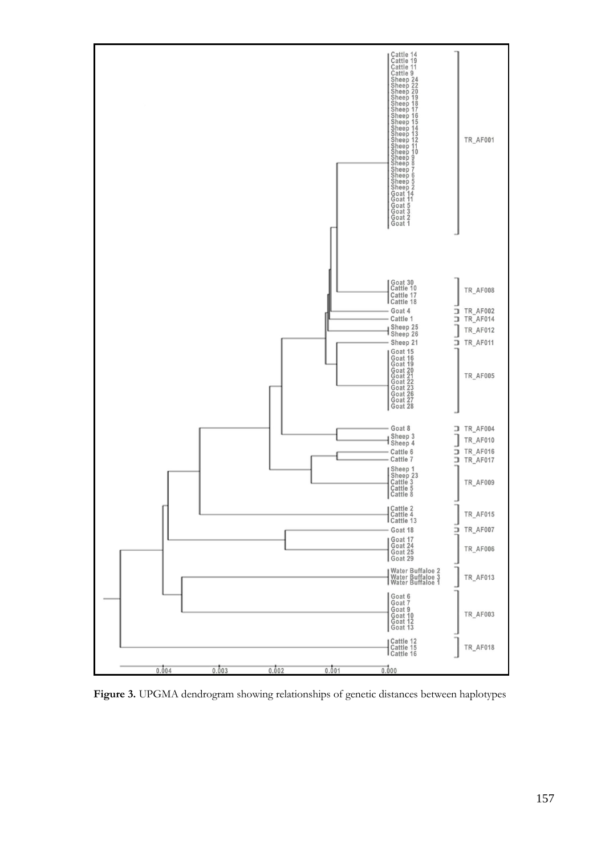

**Figure 3.** UPGMA dendrogram showing relationships of genetic distances between haplotypes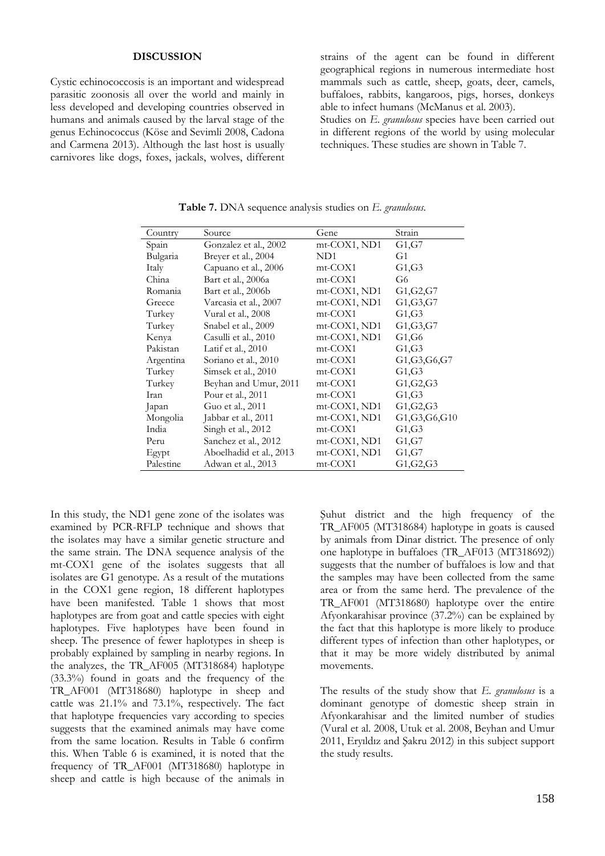#### **DISCUSSION**

Cystic echinococcosis is an important and widespread parasitic zoonosis all over the world and mainly in less developed and developing countries observed in humans and animals caused by the larval stage of the genus Echinococcus (Köse and Sevimli 2008, Cadona and Carmena 2013). Although the last host is usually carnivores like dogs, foxes, jackals, wolves, different strains of the agent can be found in different geographical regions in numerous intermediate host mammals such as cattle, sheep, goats, deer, camels, buffaloes, rabbits, kangaroos, pigs, horses, donkeys able to infect humans (McManus et al. 2003). Studies on *E. granulosus* species have been carried out in different regions of the world by using molecular techniques. These studies are shown in Table 7.

| Country   | Source                  | Gene           | Strain          |
|-----------|-------------------------|----------------|-----------------|
| Spain     | Gonzalez et al., 2002   | $mt-COX1, ND1$ | G1, G7          |
| Bulgaria  | Breyer et al., 2004     | ND1            | G1              |
| Italy     | Capuano et al., 2006    | mt-COX1        | G1, G3          |
| China     | Bart et al., 2006a      | mt-COX1        | G6              |
| Romania   | Bart et al., 2006b      | mt-COX1, ND1   | G1, G2, G7      |
| Greece    | Varcasia et al., 2007   | $mt-COX1, ND1$ | G1, G3, G7      |
| Turkey    | Vural et al., 2008      | mt-COX1        | G1, G3          |
| Turkey    | Snabel et al., 2009     | $mt-COX1, ND1$ | G1, G3, G7      |
| Kenya     | Casulli et al., 2010    | $mt-COX1, ND1$ | G1, G6          |
| Pakistan  | Latif et al., $2010$    | mt-COX1        | G1,G3           |
| Argentina | Soriano et al., 2010    | $mt-COX1$      | G1,G3,G6,G7     |
| Turkey    | Simsek et al., 2010     | mt-COX1        | G1,G3           |
| Turkey    | Beyhan and Umur, 2011   | mt-COX1        | G1, G2, G3      |
| Iran      | Pour et al., 2011       | mt-COX1        | G1,G3           |
| Japan     | Guo et al., 2011        | mt-COX1, ND1   | G1, G2, G3      |
| Mongolia  | Jabbar et al., 2011     | $mt-COX1, ND1$ | G1, G3, G6, G10 |
| India     | Singh et al., 2012      | mt-COX1        | G1,G3           |
| Peru      | Sanchez et al., 2012    | $mt-COX1, ND1$ | G1,G7           |
| Egypt     | Aboelhadid et al., 2013 | $mt-COX1, ND1$ | G1, G7          |
| Palestine | Adwan et al., 2013      | mt-COX1        | G1, G2, G3      |

**Table 7.** DNA sequence analysis studies on *E. granulosus*.

In this study, the ND1 gene zone of the isolates was examined by PCR-RFLP technique and shows that the isolates may have a similar genetic structure and the same strain. The DNA sequence analysis of the mt-COX1 gene of the isolates suggests that all isolates are G1 genotype. As a result of the mutations in the COX1 gene region, 18 different haplotypes have been manifested. Table 1 shows that most haplotypes are from goat and cattle species with eight haplotypes. Five haplotypes have been found in sheep. The presence of fewer haplotypes in sheep is probably explained by sampling in nearby regions. In the analyzes, the TR\_AF005 (MT318684) haplotype (33.3%) found in goats and the frequency of the TR\_AF001 (MT318680) haplotype in sheep and cattle was 21.1% and 73.1%, respectively. The fact that haplotype frequencies vary according to species suggests that the examined animals may have come from the same location. Results in Table 6 confirm this. When Table 6 is examined, it is noted that the frequency of TR\_AF001 (MT318680) haplotype in sheep and cattle is high because of the animals in

Şuhut district and the high frequency of the TR\_AF005 (MT318684) haplotype in goats is caused by animals from Dinar district. The presence of only one haplotype in buffaloes (TR\_AF013 (MT318692)) suggests that the number of buffaloes is low and that the samples may have been collected from the same area or from the same herd. The prevalence of the TR\_AF001 (MT318680) haplotype over the entire Afyonkarahisar province (37.2%) can be explained by the fact that this haplotype is more likely to produce different types of infection than other haplotypes, or that it may be more widely distributed by animal movements.

The results of the study show that *E. granulosus* is a dominant genotype of domestic sheep strain in Afyonkarahisar and the limited number of studies (Vural et al. 2008, Utuk et al. 2008, Beyhan and Umur 2011, Eryıldız and Şakru 2012) in this subject support the study results.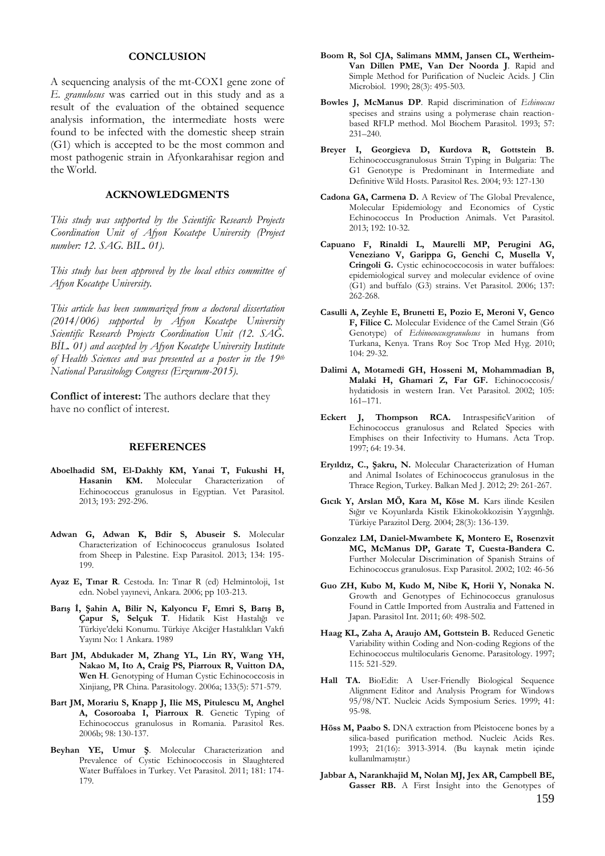#### **CONCLUSION**

A sequencing analysis of the mt-COX1 gene zone of *E. granulosus* was carried out in this study and as a result of the evaluation of the obtained sequence analysis information, the intermediate hosts were found to be infected with the domestic sheep strain (G1) which is accepted to be the most common and most pathogenic strain in Afyonkarahisar region and the World.

# **ACKNOWLEDGMENTS**

*This study was supported by the Scientific Research Projects Coordination Unit of Afyon Kocatepe University (Project number: 12. SAG. BIL. 01).* 

*This study has been approved by the local ethics committee of Afyon Kocatepe University.*

*This article has been summarized from a doctoral dissertation (2014/006) supported by Afyon Kocatepe University Scientific Research Projects Coordination Unit (12. SAĞ. BİL. 01) and accepted by Afyon Kocatepe University Institute of Health Sciences and was presented as a poster in the 19th National Parasitology Congress (Erzurum-2015).*

**Conflict of interest:** The authors declare that they have no conflict of interest.

#### **REFERENCES**

- **Aboelhadid SM, El-Dakhly KM, Yanai T, Fukushi H, Hasanin KM.** Molecular Characterization of Echinococcus granulosus in Egyptian. Vet Parasitol. 2013; 193: 292-296.
- **Adwan G, Adwan K, Bdir S, Abuseir S.** Molecular Characterization of Echinococcus granulosus Isolated from Sheep in Palestine. Exp Parasitol. 2013; 134: 195- 199.
- **Ayaz E, Tınar R**. Cestoda. In: Tınar R (ed) Helmintoloji, 1st edn. Nobel yayınevi, Ankara. 2006; pp 103-213.
- **Barış İ, Şahin A, Bilir N, Kalyoncu F, Emri S, Barış B, Çapur S, Selçuk T**. Hidatik Kist Hastalığı ve Türkiye'deki Konumu. Türkiye Akciğer Hastalıkları Vakfı Yayını No: 1 Ankara. 1989
- **Bart JM, Abdukader M, Zhang YL, Lin RY, Wang YH, Nakao M, Ito A, Craig PS, Piarroux R, Vuitton DA, Wen H**. Genotyping of Human Cystic Echinococcosis in Xinjiang, PR China. Parasitology. 2006a; 133(5): 571-579.
- **Bart JM, Morariu S, Knapp J, Ilie MS, Pitulescu M, Anghel A, Cosoroaba I, Piarroux R**. Genetic Typing of Echinococcus granulosus in Romania. Parasitol Res. 2006b; 98: 130-137.
- **Beyhan YE, Umur Ş**. Molecular Characterization and Prevalence of Cystic Echinococcosis in Slaughtered Water Buffaloes in Turkey. Vet Parasitol. 2011; 181: 174- 179.
- **Boom R, Sol CJA, Salimans MMM, Jansen CL, Wertheim-Van Dillen PME, Van Der Noorda J**. Rapid and Simple Method for Purification of Nucleic Acids. J Clin Microbiol. 1990; 28(3): 495-503.
- **Bowles J, McManus DP**. Rapid discrimination of *Echinoccus*  specises and strains using a polymerase chain reactionbased RFLP method. Mol Biochem Parasitol. 1993; 57: 231–240.
- **Breyer I, Georgieva D, Kurdova R, Gottstein B.** Echinococcusgranulosus Strain Typing in Bulgaria: The G1 Genotype is Predominant in Intermediate and Definitive Wild Hosts. Parasitol Res. 2004; 93: 127-130
- **Cadona GA, Carmena D.** A Review of The Global Prevalence, Molecular Epidemiology and Economics of Cystic Echinococcus In Production Animals. Vet Parasitol. 2013; 192: 10-32.
- **Capuano F, Rinaldi L, Maurelli MP, Perugini AG, Veneziano V, Garippa G, Genchi C, Musella V, Cringoli G.** Cystic echinococcocosis in water buffaloes: epidemiological survey and molecular evidence of ovine (G1) and buffalo (G3) strains. Vet Parasitol. 2006; 137: 262-268.
- **Casulli A, Zeyhle E, Brunetti E, Pozio E, Meroni V, Genco F, Filice C.** Molecular Evidence of the Camel Strain (G6 Genotype) of *Echinococcusgranulosus* in humans from Turkana, Kenya. Trans Roy Soc Trop Med Hyg. 2010; 104: 29-32.
- **Dalimi A, Motamedi GH, Hosseni M, Mohammadian B, Malaki H, Ghamari Z, Far GF.** Echinococcosis/ hydatidosis in western Iran. Vet Parasitol. 2002; 105: 161–171.
- **Eckert J, Thompson RCA.** IntraspesificVarition of Echinococcus granulosus and Related Species with Emphises on their Infectivity to Humans. Acta Trop. 1997; 64: 19-34.
- **Eryıldız, C., Şakru, N.** Molecular Characterization of Human and Animal Isolates of Echinococcus granulosus in the Thrace Region, Turkey. Balkan Med J. 2012; 29: 261-267.
- **Gıcık Y, Arslan MÖ, Kara M, Köse M.** Kars ilinde Kesilen Sığır ve Koyunlarda Kistik Ekinokokkozisin Yaygınlığı. Türkiye Parazitol Derg. 2004; 28(3): 136-139.
- **Gonzalez LM, Daniel-Mwambete K, Montero E, Rosenzvit MC, McManus DP, Garate T, Cuesta-Bandera C.** Further Molecular Discrimination of Spanish Strains of Echinococcus granulosus. Exp Parasitol. 2002; 102: 46-56
- **Guo ZH, Kubo M, Kudo M, Nibe K, Horii Y, Nonaka N.** Growth and Genotypes of Echinococcus granulosus Found in Cattle Imported from Australia and Fattened in Japan. Parasitol Int. 2011; 60: 498-502.
- **Haag KL, Zaha A, Araujo AM, Gottstein B.** Reduced Genetic Variability within Coding and Non-coding Regions of the Echinococcus multilocularis Genome. Parasitology. 1997; 115: 521-529.
- **Hall TA.** BioEdit: A User-Friendly Biological Sequence Alignment Editor and Analysis Program for Windows 95/98/NT. Nucleic Acids Symposium Series. 1999; 41: 95-98.
- **Höss M, Paabo S.** DNA extraction from Pleistocene bones by a silica-based purification method. Nucleic Acids Res. 1993; 21(16): 3913-3914. (Bu kaynak metin içinde kullanılmamıştır.)
- 159 **Jabbar A, Narankhajid M, Nolan MJ, Jex AR, Campbell BE, Gasser RB.** A First İnsight into the Genotypes of